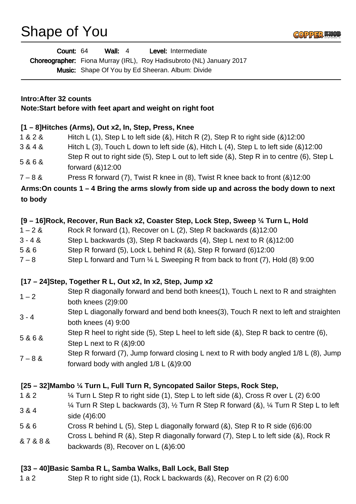Shape of You



| <b>Wall: 4</b><br>Level: Intermediate<br>Count: 64<br>Choreographer: Fiona Murray (IRL), Roy Hadisubroto (NL) January 2017 |                                                                                                                                                                                                                                                                                                                                                                                                                                                                                                                                                      |
|----------------------------------------------------------------------------------------------------------------------------|------------------------------------------------------------------------------------------------------------------------------------------------------------------------------------------------------------------------------------------------------------------------------------------------------------------------------------------------------------------------------------------------------------------------------------------------------------------------------------------------------------------------------------------------------|
|                                                                                                                            | Music: Shape Of You by Ed Sheeran. Album: Divide                                                                                                                                                                                                                                                                                                                                                                                                                                                                                                     |
| Intro: After 32 counts<br>Note: Start before with feet apart and weight on right foot                                      |                                                                                                                                                                                                                                                                                                                                                                                                                                                                                                                                                      |
| 1&2&<br>3 & 4 &<br>5&6&<br>$7 - 8 &$<br>to body                                                                            | [1 – 8] Hitches (Arms), Out x2, In, Step, Press, Knee<br>Hitch L (1), Step L to left side $(8)$ , Hitch R $(2)$ , Step R to right side $(8)12:00$<br>Hitch L (3), Touch L down to left side $(8)$ , Hitch L $(4)$ , Step L to left side $(8)12:00$<br>Step R out to right side (5), Step L out to left side (&), Step R in to centre (6), Step L<br>forward $(8)12:00$<br>Press R forward (7), Twist R knee in (8), Twist R knee back to front (&)12:00<br>Arms: On counts 1 – 4 Bring the arms slowly from side up and across the body down to next |
| $1 - 2 &$<br>$3 - 4 &$<br>5 & 6<br>$7 - 8$                                                                                 | [9 – 16] Rock, Recover, Run Back x2, Coaster Step, Lock Step, Sweep 1/4 Turn L, Hold<br>Rock R forward (1), Recover on L (2), Step R backwards (&)12:00<br>Step L backwards (3), Step R backwards (4), Step L next to R (&)12:00<br>Step R forward (5), Lock L behind R (&), Step R forward (6)12:00<br>Step L forward and Turn 1/4 L Sweeping R from back to front (7), Hold (8) 9:00                                                                                                                                                               |
| $1 - 2$<br>$3 - 4$                                                                                                         | [17 – 24] Step, Together R L, Out x2, In x2, Step, Jump x2<br>Step R diagonally forward and bend both knees(1), Touch L next to R and straighten<br>both knees (2)9:00<br>Step L diagonally forward and bend both knees(3), Touch R next to left and straighten<br>both knees $(4)$ 9:00                                                                                                                                                                                                                                                             |
| 5&6&<br>$7 - 8 &$                                                                                                          | Step R heel to right side (5), Step L heel to left side (&), Step R back to centre (6),<br>Step L next to R $(8)9:00$<br>Step R forward (7), Jump forward closing L next to R with body angled 1/8 L (8), Jump<br>forward body with angled $1/8$ L $(8)9:00$                                                                                                                                                                                                                                                                                         |
| 1 & 2<br>3 & 4<br>5 & 6<br>&7&8&                                                                                           | [25 – 32] Mambo 1/4 Turn L, Full Turn R, Syncopated Sailor Steps, Rock Step,<br>1⁄4 Turn L Step R to right side (1), Step L to left side (&), Cross R over L (2) 6:00<br>1⁄4 Turn R Step L backwards (3), 1⁄2 Turn R Step R forward (&), 1⁄4 Turn R Step L to left<br>side (4)6:00<br>Cross R behind L (5), Step L diagonally forward (&), Step R to R side (6)6:00<br>Cross L behind R (&), Step R diagonally forward (7), Step L to left side (&), Rock R<br>backwards $(8)$ , Recover on L $(8)6:00$                                              |

### **[33 – 40]Basic Samba R L, Samba Walks, Ball Lock, Ball Step**

1 a 2 Step R to right side (1), Rock L backwards (&), Recover on R (2) 6:00